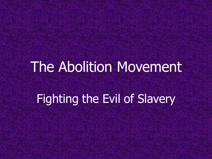## The Abolition Movement

### Fighting the Evil of Slavery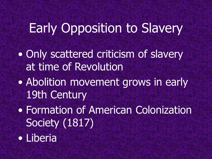## Early Opposition to Slavery

- Only scattered criticism of slavery at time of Revolution
- Abolition movement grows in early 19th Century
- Formation of American Colonization Society (1817)
- Liberia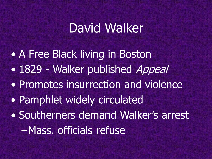### David Walker

• A Free Black living in Boston • 1829 - Walker published Appeal **• Promotes insurrection and violence** • Pamphlet widely circulated • Southerners demand Walker's arrest –Mass. officials refuse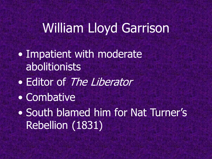## William Lloyd Garrison

- Impatient with moderate abolitionists
- Editor of The Liberator
- Combative
- South blamed him for Nat Turner's Rebellion (1831)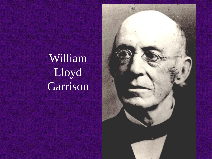## William Lloyd Garrison

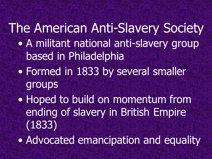The American Anti-Slavery Society • A militant national anti-slavery group

based in Philadelphia

- Formed in 1833 by several smaller groups
- Hoped to build on momentum from ending of slavery in British Empire (1833)

• Advocated emancipation and equality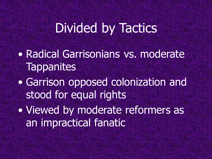#### Divided by Tactics

- Radical Garrisonians vs. moderate **Tappanites**
- Garrison opposed colonization and stood for equal rights
- Viewed by moderate reformers as an impractical fanatic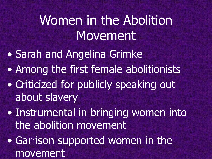# Women in the Abolition Movement

- Sarah and Angelina Grimke
- Among the first female abolitionists
- Criticized for publicly speaking out about slavery
- Instrumental in bringing women into the abolition movement
- Garrison supported women in the movement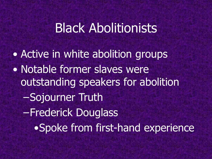### Black Abolitionists

• Active in white abolition groups • Notable former slaves were outstanding speakers for abolition –Sojourner Truth –Frederick Douglass •Spoke from first-hand experience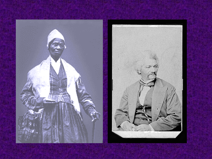

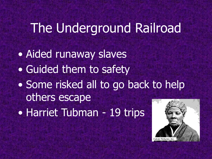## The Underground Railroad

• Aided runaway slaves • Guided them to safety • Some risked all to go back to help others escape • Harriet Tubman - 19 trips